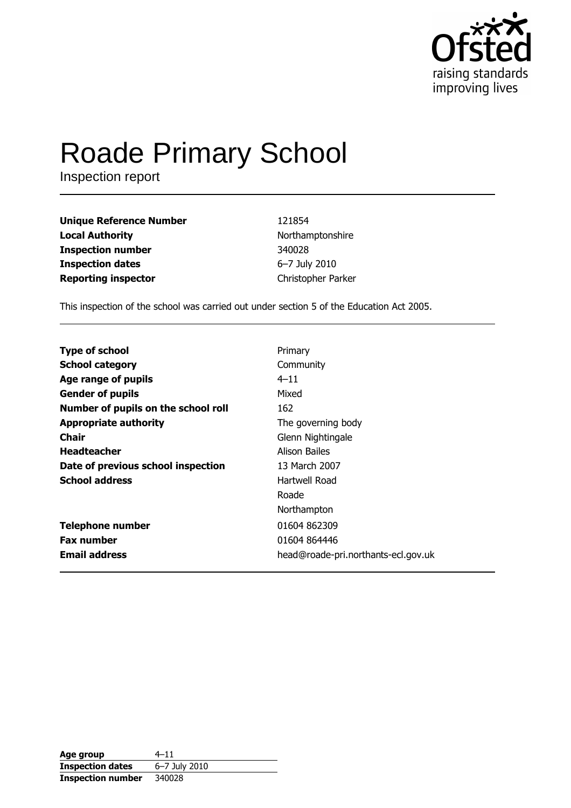

# **Roade Primary School**

Inspection report

| <b>Unique Reference Number</b> | 121854             |
|--------------------------------|--------------------|
| <b>Local Authority</b>         | Northamptonshire   |
| <b>Inspection number</b>       | 340028             |
| <b>Inspection dates</b>        | 6-7 July 2010      |
| <b>Reporting inspector</b>     | Christopher Parker |

This inspection of the school was carried out under section 5 of the Education Act 2005.

| <b>Type of school</b>               | Primary                             |
|-------------------------------------|-------------------------------------|
|                                     |                                     |
| <b>School category</b>              | Community                           |
| Age range of pupils                 | $4 - 11$                            |
| <b>Gender of pupils</b>             | Mixed                               |
| Number of pupils on the school roll | 162                                 |
| <b>Appropriate authority</b>        | The governing body                  |
| Chair                               | Glenn Nightingale                   |
| <b>Headteacher</b>                  | Alison Bailes                       |
| Date of previous school inspection  | 13 March 2007                       |
| <b>School address</b>               | Hartwell Road                       |
|                                     | Roade                               |
|                                     | Northampton                         |
| <b>Telephone number</b>             | 01604 862309                        |
| <b>Fax number</b>                   | 01604 864446                        |
| <b>Email address</b>                | head@roade-pri.northants-ecl.gov.uk |

| Age group                | $4 - 11$      |
|--------------------------|---------------|
| <b>Inspection dates</b>  | 6-7 July 2010 |
| <b>Inspection number</b> | 340028        |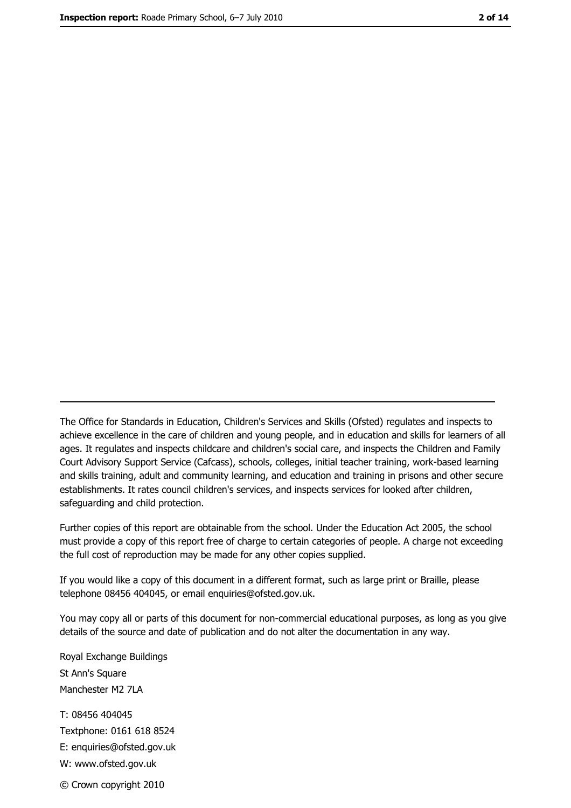The Office for Standards in Education, Children's Services and Skills (Ofsted) regulates and inspects to achieve excellence in the care of children and young people, and in education and skills for learners of all ages. It regulates and inspects childcare and children's social care, and inspects the Children and Family Court Advisory Support Service (Cafcass), schools, colleges, initial teacher training, work-based learning and skills training, adult and community learning, and education and training in prisons and other secure establishments. It rates council children's services, and inspects services for looked after children, safequarding and child protection.

Further copies of this report are obtainable from the school. Under the Education Act 2005, the school must provide a copy of this report free of charge to certain categories of people. A charge not exceeding the full cost of reproduction may be made for any other copies supplied.

If you would like a copy of this document in a different format, such as large print or Braille, please telephone 08456 404045, or email enquiries@ofsted.gov.uk.

You may copy all or parts of this document for non-commercial educational purposes, as long as you give details of the source and date of publication and do not alter the documentation in any way.

Royal Exchange Buildings St Ann's Square Manchester M2 7LA T: 08456 404045 Textphone: 0161 618 8524 E: enquiries@ofsted.gov.uk W: www.ofsted.gov.uk © Crown copyright 2010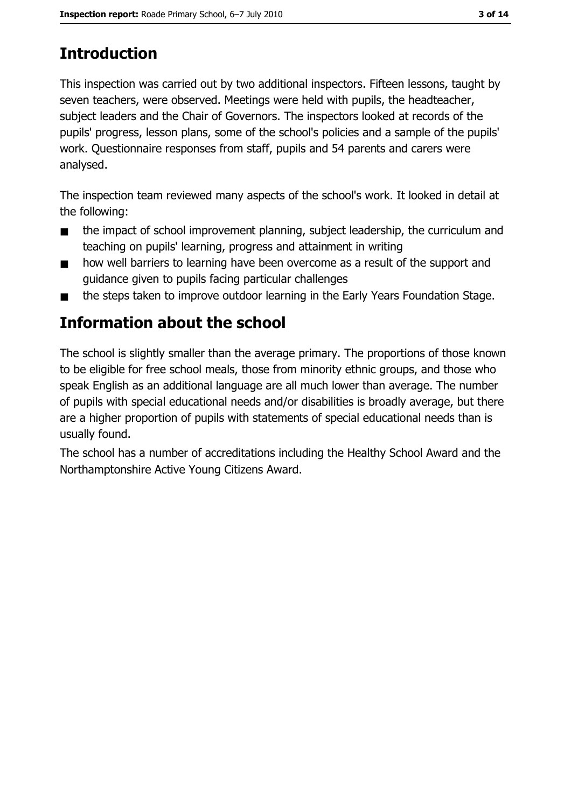# **Introduction**

This inspection was carried out by two additional inspectors. Fifteen lessons, taught by seven teachers, were observed. Meetings were held with pupils, the headteacher, subject leaders and the Chair of Governors. The inspectors looked at records of the pupils' progress, lesson plans, some of the school's policies and a sample of the pupils' work. Questionnaire responses from staff, pupils and 54 parents and carers were analysed.

The inspection team reviewed many aspects of the school's work. It looked in detail at the following:

- the impact of school improvement planning, subject leadership, the curriculum and  $\blacksquare$ teaching on pupils' learning, progress and attainment in writing
- how well barriers to learning have been overcome as a result of the support and  $\blacksquare$ quidance given to pupils facing particular challenges
- the steps taken to improve outdoor learning in the Early Years Foundation Stage.  $\blacksquare$

# Information about the school

The school is slightly smaller than the average primary. The proportions of those known to be eligible for free school meals, those from minority ethnic groups, and those who speak English as an additional language are all much lower than average. The number of pupils with special educational needs and/or disabilities is broadly average, but there are a higher proportion of pupils with statements of special educational needs than is usually found.

The school has a number of accreditations including the Healthy School Award and the Northamptonshire Active Young Citizens Award.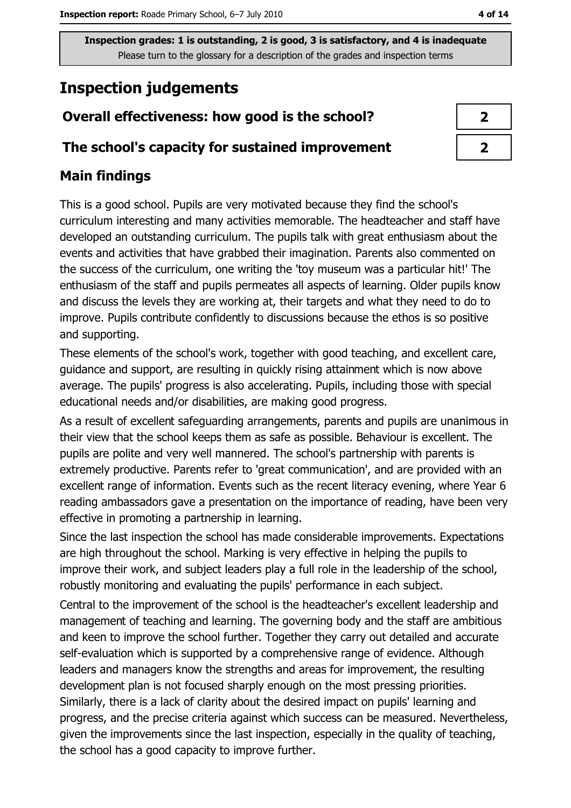# **Inspection judgements**

## Overall effectiveness: how good is the school?

## The school's capacity for sustained improvement

## **Main findings**

This is a good school. Pupils are very motivated because they find the school's curriculum interesting and many activities memorable. The headteacher and staff have developed an outstanding curriculum. The pupils talk with great enthusiasm about the events and activities that have grabbed their imagination. Parents also commented on the success of the curriculum, one writing the 'toy museum was a particular hit!' The enthusiasm of the staff and pupils permeates all aspects of learning. Older pupils know and discuss the levels they are working at, their targets and what they need to do to improve. Pupils contribute confidently to discussions because the ethos is so positive and supporting.

These elements of the school's work, together with good teaching, and excellent care, guidance and support, are resulting in quickly rising attainment which is now above average. The pupils' progress is also accelerating. Pupils, including those with special educational needs and/or disabilities, are making good progress.

As a result of excellent safeguarding arrangements, parents and pupils are unanimous in their view that the school keeps them as safe as possible. Behaviour is excellent. The pupils are polite and very well mannered. The school's partnership with parents is extremely productive. Parents refer to 'great communication', and are provided with an excellent range of information. Events such as the recent literacy evening, where Year 6 reading ambassadors gave a presentation on the importance of reading, have been very effective in promoting a partnership in learning.

Since the last inspection the school has made considerable improvements. Expectations are high throughout the school. Marking is very effective in helping the pupils to improve their work, and subject leaders play a full role in the leadership of the school, robustly monitoring and evaluating the pupils' performance in each subject.

Central to the improvement of the school is the headteacher's excellent leadership and management of teaching and learning. The governing body and the staff are ambitious and keen to improve the school further. Together they carry out detailed and accurate self-evaluation which is supported by a comprehensive range of evidence. Although leaders and managers know the strengths and areas for improvement, the resulting development plan is not focused sharply enough on the most pressing priorities. Similarly, there is a lack of clarity about the desired impact on pupils' learning and progress, and the precise criteria against which success can be measured. Nevertheless, given the improvements since the last inspection, especially in the quality of teaching, the school has a good capacity to improve further.

| ↗ |
|---|
| ↗ |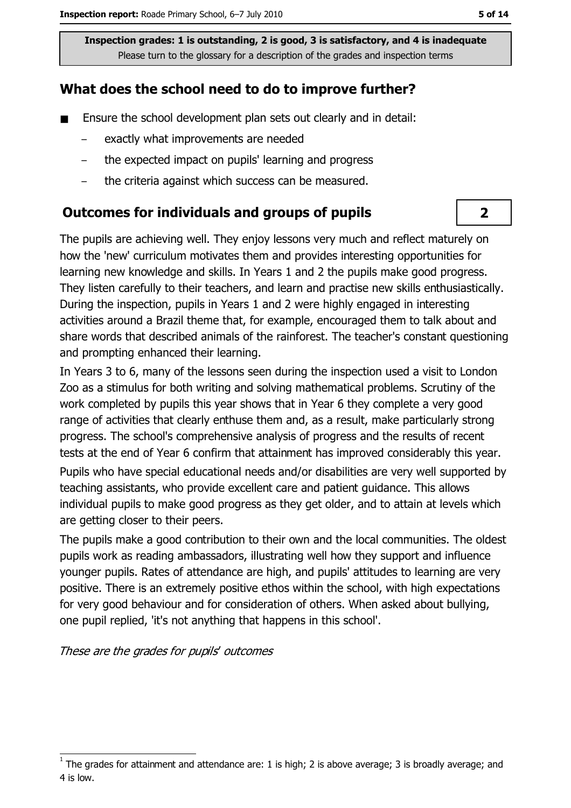## What does the school need to do to improve further?

- $\blacksquare$ Ensure the school development plan sets out clearly and in detail:
	- exactly what improvements are needed
	- the expected impact on pupils' learning and progress
	- the criteria against which success can be measured.  $\equiv$

#### **Outcomes for individuals and groups of pupils**

The pupils are achieving well. They eniov lessons very much and reflect maturely on how the 'new' curriculum motivates them and provides interesting opportunities for learning new knowledge and skills. In Years 1 and 2 the pupils make good progress. They listen carefully to their teachers, and learn and practise new skills enthusiastically. During the inspection, pupils in Years 1 and 2 were highly engaged in interesting activities around a Brazil theme that, for example, encouraged them to talk about and share words that described animals of the rainforest. The teacher's constant questioning and prompting enhanced their learning.

In Years 3 to 6, many of the lessons seen during the inspection used a visit to London Zoo as a stimulus for both writing and solving mathematical problems. Scrutiny of the work completed by pupils this year shows that in Year 6 they complete a very good range of activities that clearly enthuse them and, as a result, make particularly strong progress. The school's comprehensive analysis of progress and the results of recent tests at the end of Year 6 confirm that attainment has improved considerably this year. Pupils who have special educational needs and/or disabilities are very well supported by teaching assistants, who provide excellent care and patient quidance. This allows individual pupils to make good progress as they get older, and to attain at levels which are getting closer to their peers.

The pupils make a good contribution to their own and the local communities. The oldest pupils work as reading ambassadors, illustrating well how they support and influence younger pupils. Rates of attendance are high, and pupils' attitudes to learning are very positive. There is an extremely positive ethos within the school, with high expectations for very good behaviour and for consideration of others. When asked about bullying, one pupil replied, 'it's not anything that happens in this school'.

These are the grades for pupils' outcomes

 $\overline{\mathbf{2}}$ 

The grades for attainment and attendance are: 1 is high; 2 is above average; 3 is broadly average; and 4 is low.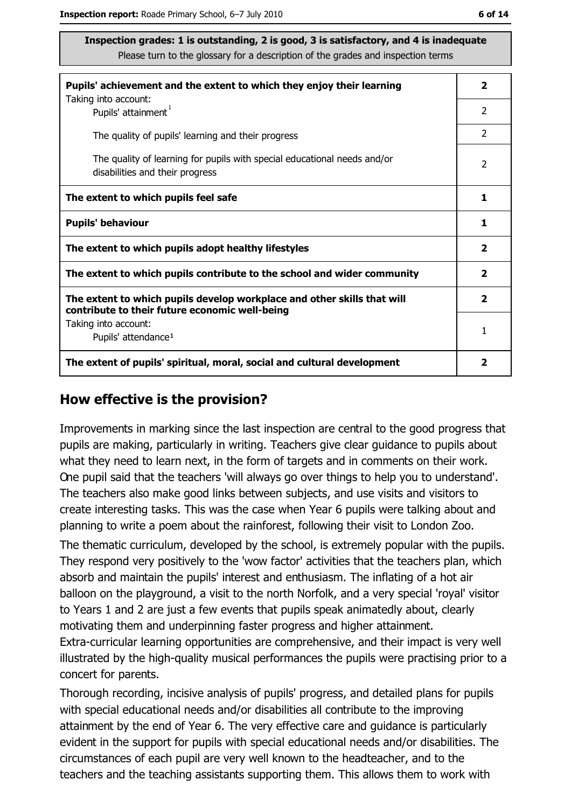| Pupils' achievement and the extent to which they enjoy their learning                                                     | 2                       |
|---------------------------------------------------------------------------------------------------------------------------|-------------------------|
| Taking into account:<br>Pupils' attainment <sup>1</sup>                                                                   | $\mathcal{P}$           |
| The quality of pupils' learning and their progress                                                                        | 2                       |
| The quality of learning for pupils with special educational needs and/or<br>disabilities and their progress               | 2                       |
| The extent to which pupils feel safe                                                                                      | 1                       |
| <b>Pupils' behaviour</b>                                                                                                  |                         |
| The extent to which pupils adopt healthy lifestyles                                                                       | $\overline{\mathbf{2}}$ |
| The extent to which pupils contribute to the school and wider community                                                   |                         |
| The extent to which pupils develop workplace and other skills that will<br>contribute to their future economic well-being | $\overline{\mathbf{2}}$ |
| Taking into account:<br>Pupils' attendance <sup>1</sup>                                                                   | 1                       |
| The extent of pupils' spiritual, moral, social and cultural development                                                   |                         |

#### How effective is the provision?

Improvements in marking since the last inspection are central to the good progress that pupils are making, particularly in writing. Teachers give clear guidance to pupils about what they need to learn next, in the form of targets and in comments on their work. One pupil said that the teachers 'will always go over things to help you to understand'. The teachers also make good links between subjects, and use visits and visitors to create interesting tasks. This was the case when Year 6 pupils were talking about and planning to write a poem about the rainforest, following their visit to London Zoo.

The thematic curriculum, developed by the school, is extremely popular with the pupils. They respond very positively to the 'wow factor' activities that the teachers plan, which absorb and maintain the pupils' interest and enthusiasm. The inflating of a hot air balloon on the playground, a visit to the north Norfolk, and a very special 'roval' visitor to Years 1 and 2 are just a few events that pupils speak animatedly about, clearly motivating them and underpinning faster progress and higher attainment. Extra-curricular learning opportunities are comprehensive, and their impact is very well illustrated by the high-quality musical performances the pupils were practising prior to a concert for parents.

Thorough recording, incisive analysis of pupils' progress, and detailed plans for pupils with special educational needs and/or disabilities all contribute to the improving attainment by the end of Year 6. The very effective care and quidance is particularly evident in the support for pupils with special educational needs and/or disabilities. The circumstances of each pupil are very well known to the headteacher, and to the teachers and the teaching assistants supporting them. This allows them to work with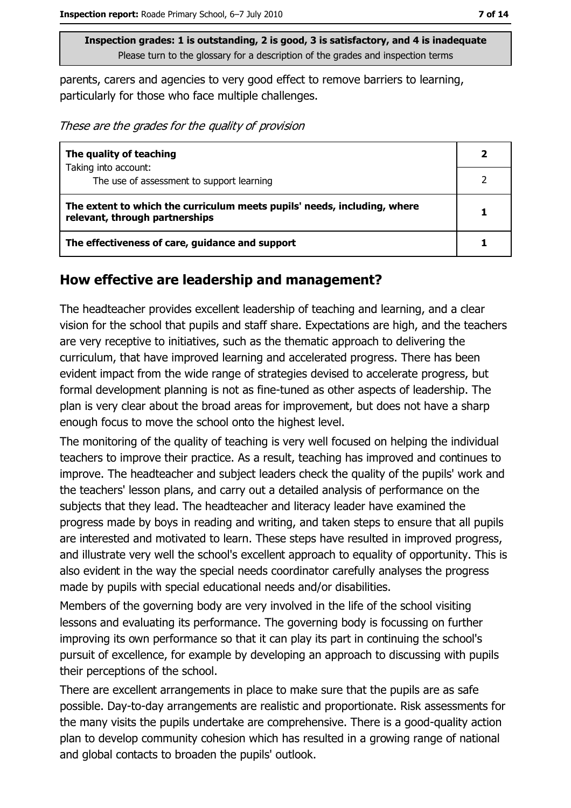parents, carers and agencies to very good effect to remove barriers to learning, particularly for those who face multiple challenges.

These are the grades for the quality of provision

| The quality of teaching                                                                                    | 2 |
|------------------------------------------------------------------------------------------------------------|---|
| Taking into account:                                                                                       |   |
| The use of assessment to support learning                                                                  |   |
| The extent to which the curriculum meets pupils' needs, including, where<br>relevant, through partnerships |   |
| The effectiveness of care, guidance and support                                                            |   |

# How effective are leadership and management?

The headteacher provides excellent leadership of teaching and learning, and a clear vision for the school that pupils and staff share. Expectations are high, and the teachers are very receptive to initiatives, such as the thematic approach to delivering the curriculum, that have improved learning and accelerated progress. There has been evident impact from the wide range of strategies devised to accelerate progress, but formal development planning is not as fine-tuned as other aspects of leadership. The plan is very clear about the broad areas for improvement, but does not have a sharp enough focus to move the school onto the highest level.

The monitoring of the quality of teaching is very well focused on helping the individual teachers to improve their practice. As a result, teaching has improved and continues to improve. The headteacher and subject leaders check the quality of the pupils' work and the teachers' lesson plans, and carry out a detailed analysis of performance on the subjects that they lead. The headteacher and literacy leader have examined the progress made by boys in reading and writing, and taken steps to ensure that all pupils are interested and motivated to learn. These steps have resulted in improved progress, and illustrate very well the school's excellent approach to equality of opportunity. This is also evident in the way the special needs coordinator carefully analyses the progress made by pupils with special educational needs and/or disabilities.

Members of the governing body are very involved in the life of the school visiting lessons and evaluating its performance. The governing body is focussing on further improving its own performance so that it can play its part in continuing the school's pursuit of excellence, for example by developing an approach to discussing with pupils their perceptions of the school.

There are excellent arrangements in place to make sure that the pupils are as safe possible. Day-to-day arrangements are realistic and proportionate. Risk assessments for the many visits the pupils undertake are comprehensive. There is a good-guality action plan to develop community cohesion which has resulted in a growing range of national and global contacts to broaden the pupils' outlook.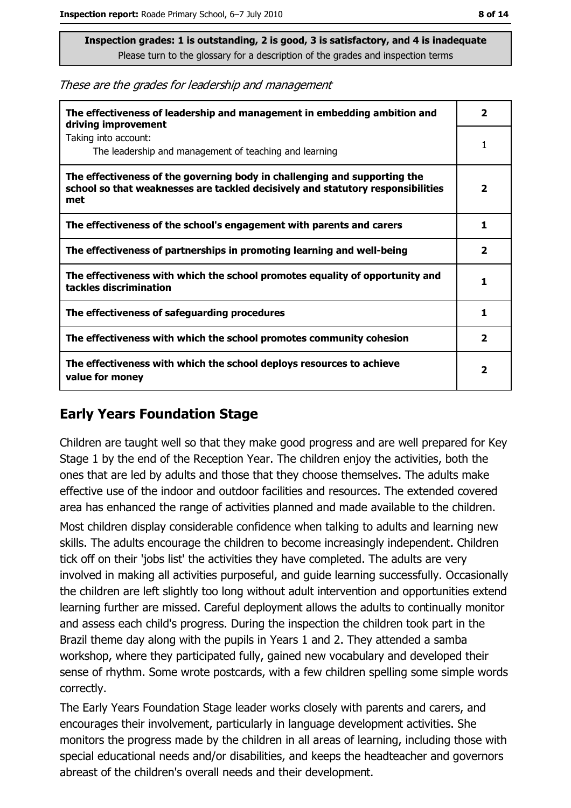These are the grades for leadership and management

| The effectiveness of leadership and management in embedding ambition and<br>driving improvement                                                                     | 2                        |
|---------------------------------------------------------------------------------------------------------------------------------------------------------------------|--------------------------|
| Taking into account:<br>The leadership and management of teaching and learning                                                                                      |                          |
| The effectiveness of the governing body in challenging and supporting the<br>school so that weaknesses are tackled decisively and statutory responsibilities<br>met | $\overline{\phantom{a}}$ |
| The effectiveness of the school's engagement with parents and carers                                                                                                | 1.                       |
| The effectiveness of partnerships in promoting learning and well-being                                                                                              | 2                        |
| The effectiveness with which the school promotes equality of opportunity and<br>tackles discrimination                                                              | 1                        |
| The effectiveness of safeguarding procedures                                                                                                                        | 1                        |
| The effectiveness with which the school promotes community cohesion                                                                                                 | $\overline{\mathbf{2}}$  |
| The effectiveness with which the school deploys resources to achieve<br>value for money                                                                             | 2                        |

## **Early Years Foundation Stage**

Children are taught well so that they make good progress and are well prepared for Key Stage 1 by the end of the Reception Year. The children enjoy the activities, both the ones that are led by adults and those that they choose themselves. The adults make effective use of the indoor and outdoor facilities and resources. The extended covered area has enhanced the range of activities planned and made available to the children.

Most children display considerable confidence when talking to adults and learning new skills. The adults encourage the children to become increasingly independent. Children tick off on their 'jobs list' the activities they have completed. The adults are very involved in making all activities purposeful, and guide learning successfully. Occasionally the children are left slightly too long without adult intervention and opportunities extend learning further are missed. Careful deployment allows the adults to continually monitor and assess each child's progress. During the inspection the children took part in the Brazil theme day along with the pupils in Years 1 and 2. They attended a samba workshop, where they participated fully, gained new vocabulary and developed their sense of rhythm. Some wrote postcards, with a few children spelling some simple words correctly.

The Early Years Foundation Stage leader works closely with parents and carers, and encourages their involvement, particularly in language development activities. She monitors the progress made by the children in all areas of learning, including those with special educational needs and/or disabilities, and keeps the headteacher and governors abreast of the children's overall needs and their development.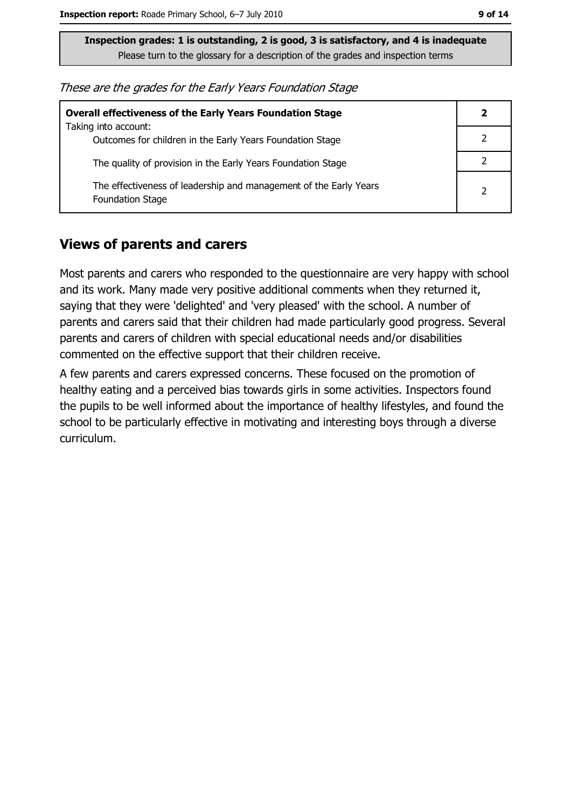These are the grades for the Early Years Foundation Stage

| <b>Overall effectiveness of the Early Years Foundation Stage</b>                             |  |
|----------------------------------------------------------------------------------------------|--|
| Taking into account:<br>Outcomes for children in the Early Years Foundation Stage            |  |
| The quality of provision in the Early Years Foundation Stage                                 |  |
| The effectiveness of leadership and management of the Early Years<br><b>Foundation Stage</b> |  |

#### **Views of parents and carers**

Most parents and carers who responded to the questionnaire are very happy with school and its work. Many made very positive additional comments when they returned it, saying that they were 'delighted' and 'very pleased' with the school. A number of parents and carers said that their children had made particularly good progress. Several parents and carers of children with special educational needs and/or disabilities commented on the effective support that their children receive.

A few parents and carers expressed concerns. These focused on the promotion of healthy eating and a perceived bias towards girls in some activities. Inspectors found the pupils to be well informed about the importance of healthy lifestyles, and found the school to be particularly effective in motivating and interesting boys through a diverse curriculum.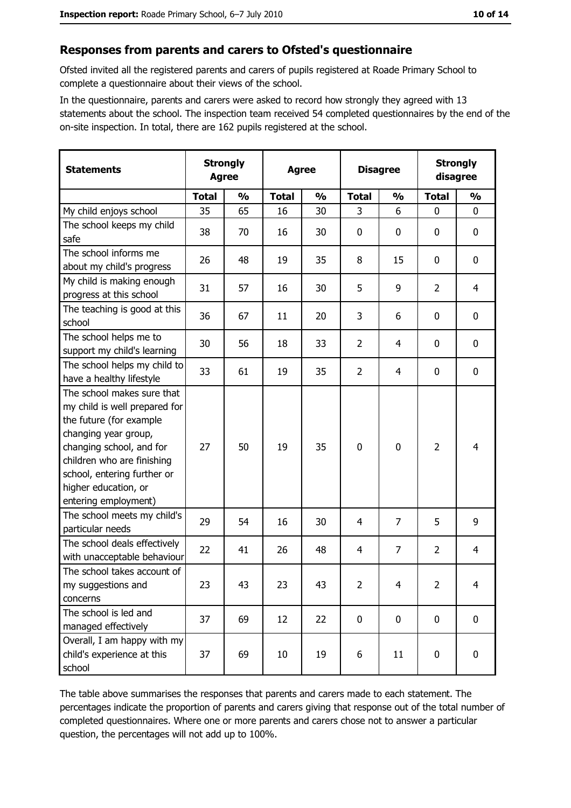#### Responses from parents and carers to Ofsted's questionnaire

Ofsted invited all the registered parents and carers of pupils registered at Roade Primary School to complete a questionnaire about their views of the school.

In the questionnaire, parents and carers were asked to record how strongly they agreed with 13 statements about the school. The inspection team received 54 completed questionnaires by the end of the on-site inspection. In total, there are 162 pupils registered at the school.

| <b>Statements</b>                                                                                                                                                                                                                                       | <b>Strongly</b><br><b>Agree</b> |               | <b>Agree</b> |               |                | <b>Disagree</b> |                | <b>Strongly</b><br>disagree |  |
|---------------------------------------------------------------------------------------------------------------------------------------------------------------------------------------------------------------------------------------------------------|---------------------------------|---------------|--------------|---------------|----------------|-----------------|----------------|-----------------------------|--|
|                                                                                                                                                                                                                                                         | <b>Total</b>                    | $\frac{0}{0}$ | <b>Total</b> | $\frac{0}{0}$ | <b>Total</b>   | $\frac{0}{0}$   | <b>Total</b>   | $\frac{1}{2}$               |  |
| My child enjoys school                                                                                                                                                                                                                                  | 35                              | 65            | 16           | 30            | 3              | 6               | $\mathbf{0}$   | 0                           |  |
| The school keeps my child<br>safe                                                                                                                                                                                                                       | 38                              | 70            | 16           | 30            | $\mathbf 0$    | 0               | 0              | 0                           |  |
| The school informs me<br>about my child's progress                                                                                                                                                                                                      | 26                              | 48            | 19           | 35            | 8              | 15              | 0              | 0                           |  |
| My child is making enough<br>progress at this school                                                                                                                                                                                                    | 31                              | 57            | 16           | 30            | 5              | 9               | $\overline{2}$ | $\overline{4}$              |  |
| The teaching is good at this<br>school                                                                                                                                                                                                                  | 36                              | 67            | 11           | 20            | 3              | 6               | 0              | $\mathbf 0$                 |  |
| The school helps me to<br>support my child's learning                                                                                                                                                                                                   | 30                              | 56            | 18           | 33            | $\overline{2}$ | 4               | 0              | 0                           |  |
| The school helps my child to<br>have a healthy lifestyle                                                                                                                                                                                                | 33                              | 61            | 19           | 35            | $\overline{2}$ | 4               | 0              | $\boldsymbol{0}$            |  |
| The school makes sure that<br>my child is well prepared for<br>the future (for example<br>changing year group,<br>changing school, and for<br>children who are finishing<br>school, entering further or<br>higher education, or<br>entering employment) | 27                              | 50            | 19           | 35            | $\mathbf 0$    | 0               | $\overline{2}$ | 4                           |  |
| The school meets my child's<br>particular needs                                                                                                                                                                                                         | 29                              | 54            | 16           | 30            | 4              | 7               | 5              | 9                           |  |
| The school deals effectively<br>with unacceptable behaviour                                                                                                                                                                                             | 22                              | 41            | 26           | 48            | $\overline{4}$ | $\overline{7}$  | $\overline{2}$ | $\overline{4}$              |  |
| The school takes account of<br>my suggestions and<br>concerns                                                                                                                                                                                           | 23                              | 43            | 23           | 43            | $\overline{2}$ | 4               | $\overline{2}$ | 4                           |  |
| The school is led and<br>managed effectively                                                                                                                                                                                                            | 37                              | 69            | 12           | 22            | $\mathbf 0$    | 0               | 0              | $\mathbf 0$                 |  |
| Overall, I am happy with my<br>child's experience at this<br>school                                                                                                                                                                                     | 37                              | 69            | 10           | 19            | 6              | 11              | 0              | 0                           |  |

The table above summarises the responses that parents and carers made to each statement. The percentages indicate the proportion of parents and carers giving that response out of the total number of completed questionnaires. Where one or more parents and carers chose not to answer a particular question, the percentages will not add up to 100%.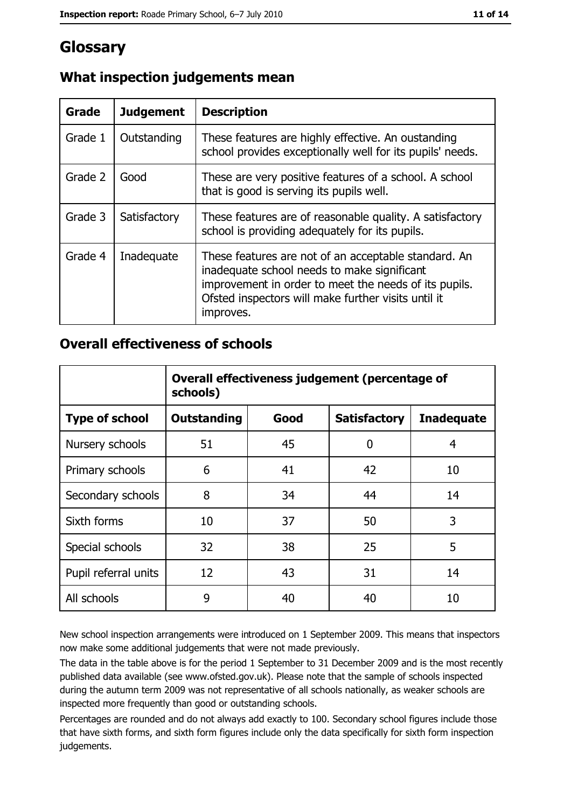# Glossary

| Grade   | <b>Judgement</b> | <b>Description</b>                                                                                                                                                                                                               |
|---------|------------------|----------------------------------------------------------------------------------------------------------------------------------------------------------------------------------------------------------------------------------|
| Grade 1 | Outstanding      | These features are highly effective. An oustanding<br>school provides exceptionally well for its pupils' needs.                                                                                                                  |
| Grade 2 | Good             | These are very positive features of a school. A school<br>that is good is serving its pupils well.                                                                                                                               |
| Grade 3 | Satisfactory     | These features are of reasonable quality. A satisfactory<br>school is providing adequately for its pupils.                                                                                                                       |
| Grade 4 | Inadequate       | These features are not of an acceptable standard. An<br>inadequate school needs to make significant<br>improvement in order to meet the needs of its pupils.<br>Ofsted inspectors will make further visits until it<br>improves. |

# What inspection judgements mean

## **Overall effectiveness of schools**

|                       | Overall effectiveness judgement (percentage of<br>schools) |      |                     |                   |
|-----------------------|------------------------------------------------------------|------|---------------------|-------------------|
| <b>Type of school</b> | <b>Outstanding</b>                                         | Good | <b>Satisfactory</b> | <b>Inadequate</b> |
| Nursery schools       | 51                                                         | 45   | 0                   | 4                 |
| Primary schools       | 6                                                          | 41   | 42                  | 10                |
| Secondary schools     | 8                                                          | 34   | 44                  | 14                |
| Sixth forms           | 10                                                         | 37   | 50                  | 3                 |
| Special schools       | 32                                                         | 38   | 25                  | 5                 |
| Pupil referral units  | 12                                                         | 43   | 31                  | 14                |
| All schools           | 9                                                          | 40   | 40                  | 10                |

New school inspection arrangements were introduced on 1 September 2009. This means that inspectors now make some additional judgements that were not made previously.

The data in the table above is for the period 1 September to 31 December 2009 and is the most recently published data available (see www.ofsted.gov.uk). Please note that the sample of schools inspected during the autumn term 2009 was not representative of all schools nationally, as weaker schools are inspected more frequently than good or outstanding schools.

Percentages are rounded and do not always add exactly to 100. Secondary school figures include those that have sixth forms, and sixth form figures include only the data specifically for sixth form inspection judgements.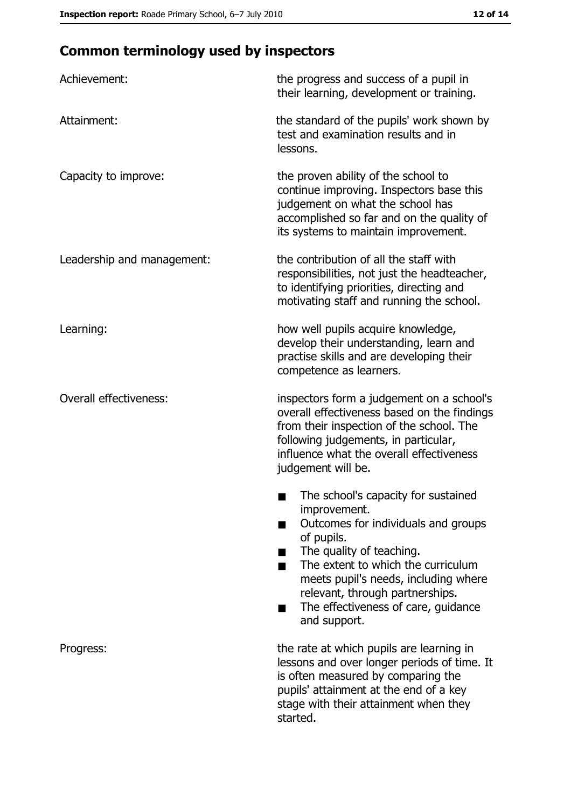# **Common terminology used by inspectors**

| Achievement:                  | the progress and success of a pupil in<br>their learning, development or training.                                                                                                                                                                                                                           |
|-------------------------------|--------------------------------------------------------------------------------------------------------------------------------------------------------------------------------------------------------------------------------------------------------------------------------------------------------------|
| Attainment:                   | the standard of the pupils' work shown by<br>test and examination results and in<br>lessons.                                                                                                                                                                                                                 |
| Capacity to improve:          | the proven ability of the school to<br>continue improving. Inspectors base this<br>judgement on what the school has<br>accomplished so far and on the quality of<br>its systems to maintain improvement.                                                                                                     |
| Leadership and management:    | the contribution of all the staff with<br>responsibilities, not just the headteacher,<br>to identifying priorities, directing and<br>motivating staff and running the school.                                                                                                                                |
| Learning:                     | how well pupils acquire knowledge,<br>develop their understanding, learn and<br>practise skills and are developing their<br>competence as learners.                                                                                                                                                          |
| <b>Overall effectiveness:</b> | inspectors form a judgement on a school's<br>overall effectiveness based on the findings<br>from their inspection of the school. The<br>following judgements, in particular,<br>influence what the overall effectiveness<br>judgement will be.                                                               |
|                               | The school's capacity for sustained<br>improvement.<br>Outcomes for individuals and groups<br>of pupils.<br>The quality of teaching.<br>The extent to which the curriculum<br>meets pupil's needs, including where<br>relevant, through partnerships.<br>The effectiveness of care, guidance<br>and support. |
| Progress:                     | the rate at which pupils are learning in<br>lessons and over longer periods of time. It<br>is often measured by comparing the<br>pupils' attainment at the end of a key<br>stage with their attainment when they<br>started.                                                                                 |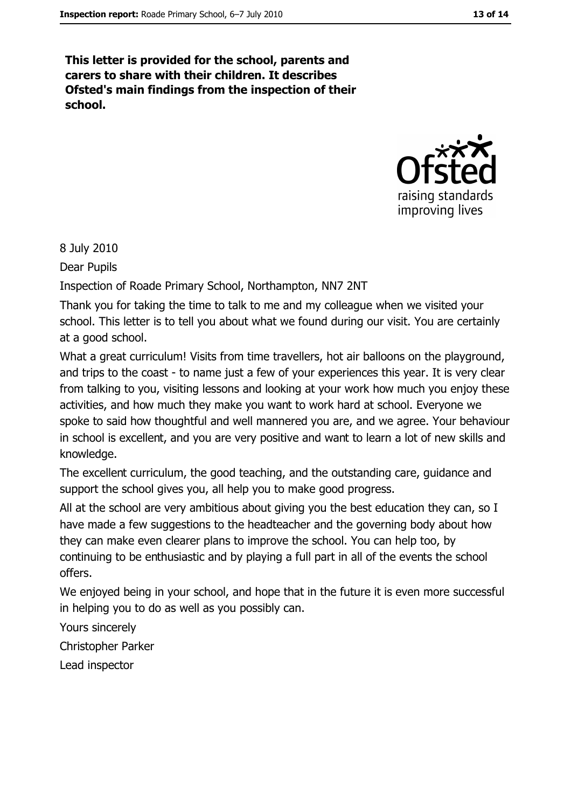This letter is provided for the school, parents and carers to share with their children. It describes Ofsted's main findings from the inspection of their school.



8 July 2010

Dear Pupils

Inspection of Roade Primary School, Northampton, NN7 2NT

Thank you for taking the time to talk to me and my colleague when we visited your school. This letter is to tell you about what we found during our visit. You are certainly at a good school.

What a great curriculum! Visits from time travellers, hot air balloons on the playground, and trips to the coast - to name just a few of your experiences this year. It is very clear from talking to you, visiting lessons and looking at your work how much you enjoy these activities, and how much they make you want to work hard at school. Everyone we spoke to said how thoughtful and well mannered you are, and we agree. Your behaviour in school is excellent, and you are very positive and want to learn a lot of new skills and knowledge.

The excellent curriculum, the good teaching, and the outstanding care, guidance and support the school gives you, all help you to make good progress.

All at the school are very ambitious about giving you the best education they can, so I have made a few suggestions to the headteacher and the governing body about how they can make even clearer plans to improve the school. You can help too, by continuing to be enthusiastic and by playing a full part in all of the events the school offers.

We enjoyed being in your school, and hope that in the future it is even more successful in helping you to do as well as you possibly can.

Yours sincerely

Christopher Parker

Lead inspector